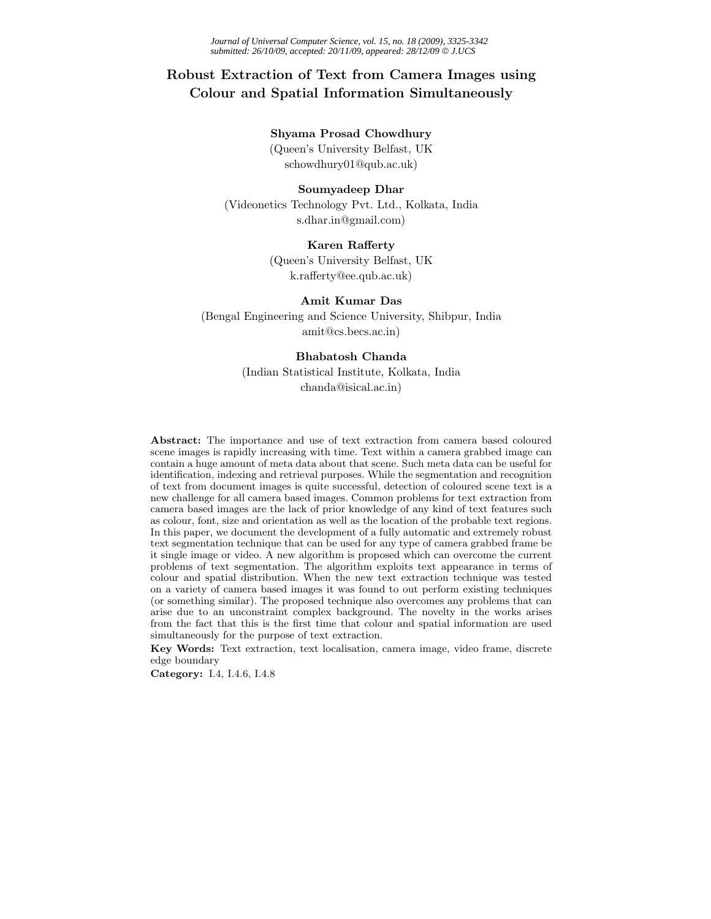# **Robust Extraction of Text from Camera Images using Colour and Spatial Information Simultaneously**

### **Shyama Prosad Chowdhury**

(Queen's University Belfast, UK schowdhury01@qub.ac.uk)

# **Soumyadeep Dhar**

(Videonetics Technology Pvt. Ltd., Kolkata, India s.dhar.in@gmail.com)

# **Karen Rafferty**

(Queen's University Belfast, UK k.rafferty@ee.qub.ac.uk)

# **Amit Kumar Das**

(Bengal Engineering and Science University, Shibpur, India amit@cs.becs.ac.in)

# **Bhabatosh Chanda**

(Indian Statistical Institute, Kolkata, India chanda@isical.ac.in)

**Abstract:** The importance and use of text extraction from camera based coloured scene images is rapidly increasing with time. Text within a camera grabbed image can contain a huge amount of meta data about that scene. Such meta data can be useful for identification, indexing and retrieval purposes. While the segmentation and recognition of text from document images is quite successful, detection of coloured scene text is a new challenge for all camera based images. Common problems for text extraction from camera based images are the lack of prior knowledge of any kind of text features such as colour, font, size and orientation as well as the location of the probable text regions. In this paper, we document the development of a fully automatic and extremely robust text segmentation technique that can be used for any type of camera grabbed frame be it single image or video. A new algorithm is proposed which can overcome the current problems of text segmentation. The algorithm exploits text appearance in terms of colour and spatial distribution. When the new text extraction technique was tested on a variety of camera based images it was found to out perform existing techniques (or something similar). The proposed technique also overcomes any problems that can arise due to an unconstraint complex background. The novelty in the works arises from the fact that this is the first time that colour and spatial information are used simultaneously for the purpose of text extraction.

**Key Words:** Text extraction, text localisation, camera image, video frame, discrete edge boundary

**Category:** I.4, I.4.6, I.4.8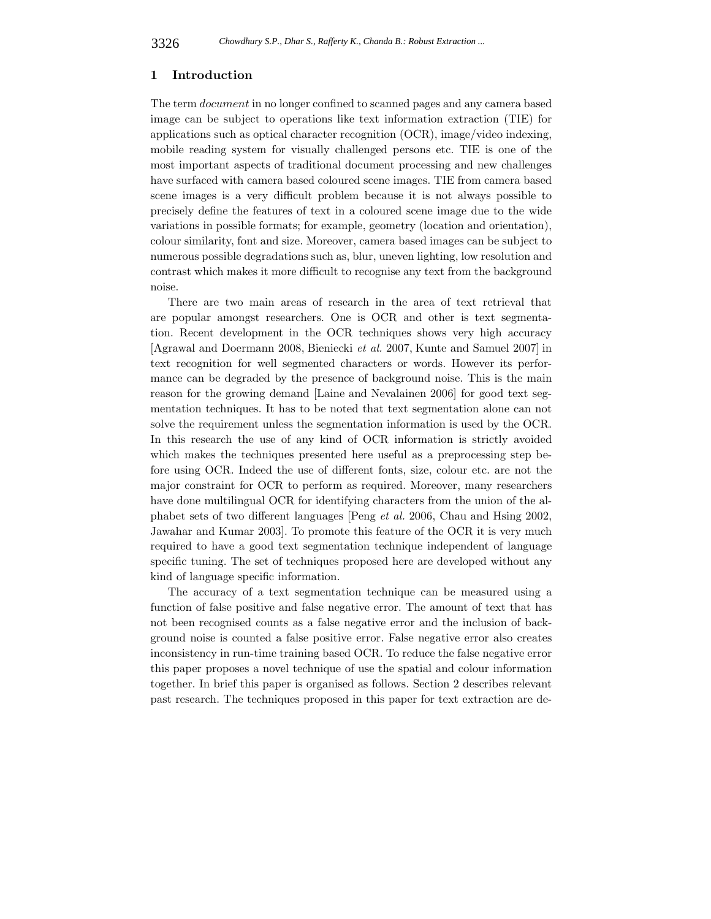### **1 Introduction**

The term *document* in no longer confined to scanned pages and any camera based image can be subject to operations like text information extraction (TIE) for applications such as optical character recognition (OCR), image/video indexing, mobile reading system for visually challenged persons etc. TIE is one of the most important aspects of traditional document processing and new challenges have surfaced with camera based coloured scene images. TIE from camera based scene images is a very difficult problem because it is not always possible to precisely define the features of text in a coloured scene image due to the wide variations in possible formats; for example, geometry (location and orientation), colour similarity, font and size. Moreover, camera based images can be subject to numerous possible degradations such as, blur, uneven lighting, low resolution and contrast which makes it more difficult to recognise any text from the background noise.

There are two main areas of research in the area of text retrieval that are popular amongst researchers. One is OCR and other is text segmentation. Recent development in the OCR techniques shows very high accuracy [Agrawal and Doermann 2008, Bieniecki *et al.* 2007, Kunte and Samuel 2007] in text recognition for well segmented characters or words. However its performance can be degraded by the presence of background noise. This is the main reason for the growing demand [Laine and Nevalainen 2006] for good text segmentation techniques. It has to be noted that text segmentation alone can not solve the requirement unless the segmentation information is used by the OCR. In this research the use of any kind of OCR information is strictly avoided which makes the techniques presented here useful as a preprocessing step before using OCR. Indeed the use of different fonts, size, colour etc. are not the major constraint for OCR to perform as required. Moreover, many researchers have done multilingual OCR for identifying characters from the union of the alphabet sets of two different languages [Peng *et al.* 2006, Chau and Hsing 2002, Jawahar and Kumar 2003]. To promote this feature of the OCR it is very much required to have a good text segmentation technique independent of language specific tuning. The set of techniques proposed here are developed without any kind of language specific information.

The accuracy of a text segmentation technique can be measured using a function of false positive and false negative error. The amount of text that has not been recognised counts as a false negative error and the inclusion of background noise is counted a false positive error. False negative error also creates inconsistency in run-time training based OCR. To reduce the false negative error this paper proposes a novel technique of use the spatial and colour information together. In brief this paper is organised as follows. Section 2 describes relevant past research. The techniques proposed in this paper for text extraction are de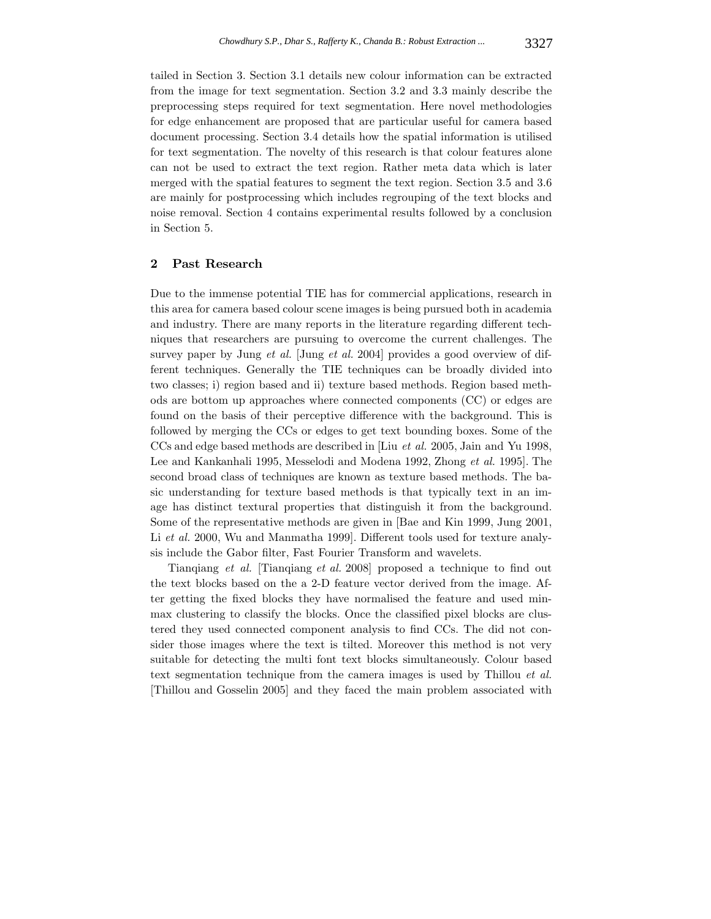tailed in Section 3. Section 3.1 details new colour information can be extracted from the image for text segmentation. Section 3.2 and 3.3 mainly describe the preprocessing steps required for text segmentation. Here novel methodologies for edge enhancement are proposed that are particular useful for camera based document processing. Section 3.4 details how the spatial information is utilised for text segmentation. The novelty of this research is that colour features alone can not be used to extract the text region. Rather meta data which is later merged with the spatial features to segment the text region. Section 3.5 and 3.6 are mainly for postprocessing which includes regrouping of the text blocks and noise removal. Section 4 contains experimental results followed by a conclusion in Section 5.

### **2 Past Research**

Due to the immense potential TIE has for commercial applications, research in this area for camera based colour scene images is being pursued both in academia and industry. There are many reports in the literature regarding different techniques that researchers are pursuing to overcome the current challenges. The survey paper by Jung *et al.* [Jung *et al.* 2004] provides a good overview of different techniques. Generally the TIE techniques can be broadly divided into two classes; i) region based and ii) texture based methods. Region based methods are bottom up approaches where connected components (CC) or edges are found on the basis of their perceptive difference with the background. This is followed by merging the CCs or edges to get text bounding boxes. Some of the CCs and edge based methods are described in [Liu *et al.* 2005, Jain and Yu 1998, Lee and Kankanhali 1995, Messelodi and Modena 1992, Zhong *et al.* 1995]. The second broad class of techniques are known as texture based methods. The basic understanding for texture based methods is that typically text in an image has distinct textural properties that distinguish it from the background. Some of the representative methods are given in [Bae and Kin 1999, Jung 2001, Li *et al.* 2000, Wu and Manmatha 1999. Different tools used for texture analysis include the Gabor filter, Fast Fourier Transform and wavelets.

Tianqiang *et al.* [Tianqiang *et al.* 2008] proposed a technique to find out the text blocks based on the a 2-D feature vector derived from the image. After getting the fixed blocks they have normalised the feature and used minmax clustering to classify the blocks. Once the classified pixel blocks are clustered they used connected component analysis to find CCs. The did not consider those images where the text is tilted. Moreover this method is not very suitable for detecting the multi font text blocks simultaneously. Colour based text segmentation technique from the camera images is used by Thillou *et al.* [Thillou and Gosselin 2005] and they faced the main problem associated with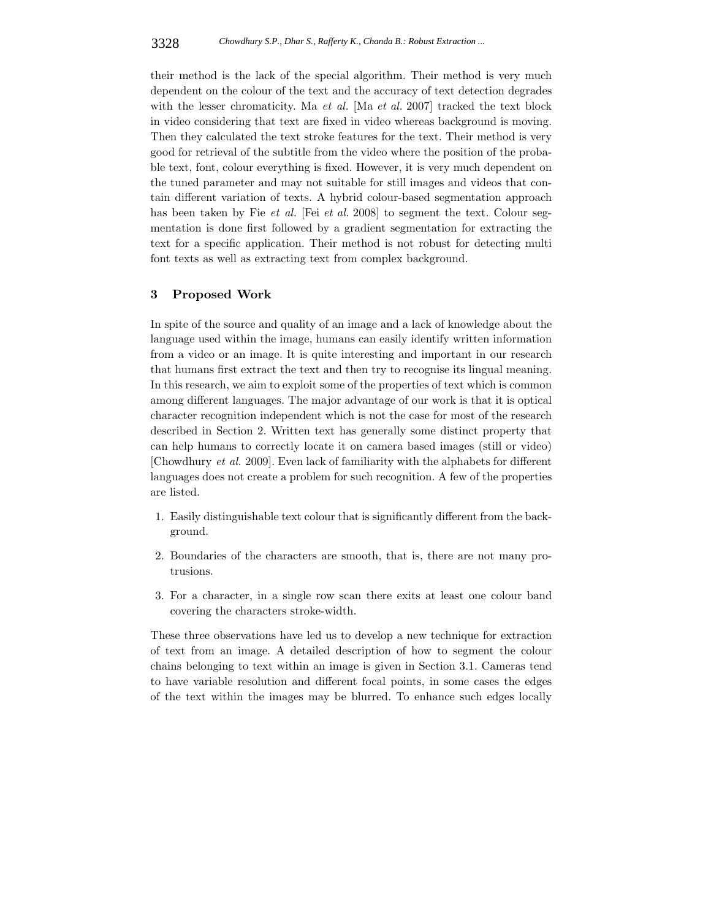their method is the lack of the special algorithm. Their method is very much dependent on the colour of the text and the accuracy of text detection degrades with the lesser chromaticity. Ma *et al.* [Ma *et al.* 2007] tracked the text block in video considering that text are fixed in video whereas background is moving. Then they calculated the text stroke features for the text. Their method is very good for retrieval of the subtitle from the video where the position of the probable text, font, colour everything is fixed. However, it is very much dependent on the tuned parameter and may not suitable for still images and videos that contain different variation of texts. A hybrid colour-based segmentation approach has been taken by Fie *et al.* [Fei *et al.* 2008] to segment the text. Colour segmentation is done first followed by a gradient segmentation for extracting the text for a specific application. Their method is not robust for detecting multi font texts as well as extracting text from complex background.

# **3 Proposed Work**

In spite of the source and quality of an image and a lack of knowledge about the language used within the image, humans can easily identify written information from a video or an image. It is quite interesting and important in our research that humans first extract the text and then try to recognise its lingual meaning. In this research, we aim to exploit some of the properties of text which is common among different languages. The major advantage of our work is that it is optical character recognition independent which is not the case for most of the research described in Section 2. Written text has generally some distinct property that can help humans to correctly locate it on camera based images (still or video) [Chowdhury *et al.* 2009]. Even lack of familiarity with the alphabets for different languages does not create a problem for such recognition. A few of the properties are listed.

- 1. Easily distinguishable text colour that is significantly different from the background.
- 2. Boundaries of the characters are smooth, that is, there are not many protrusions.
- 3. For a character, in a single row scan there exits at least one colour band covering the characters stroke-width.

These three observations have led us to develop a new technique for extraction of text from an image. A detailed description of how to segment the colour chains belonging to text within an image is given in Section 3.1. Cameras tend to have variable resolution and different focal points, in some cases the edges of the text within the images may be blurred. To enhance such edges locally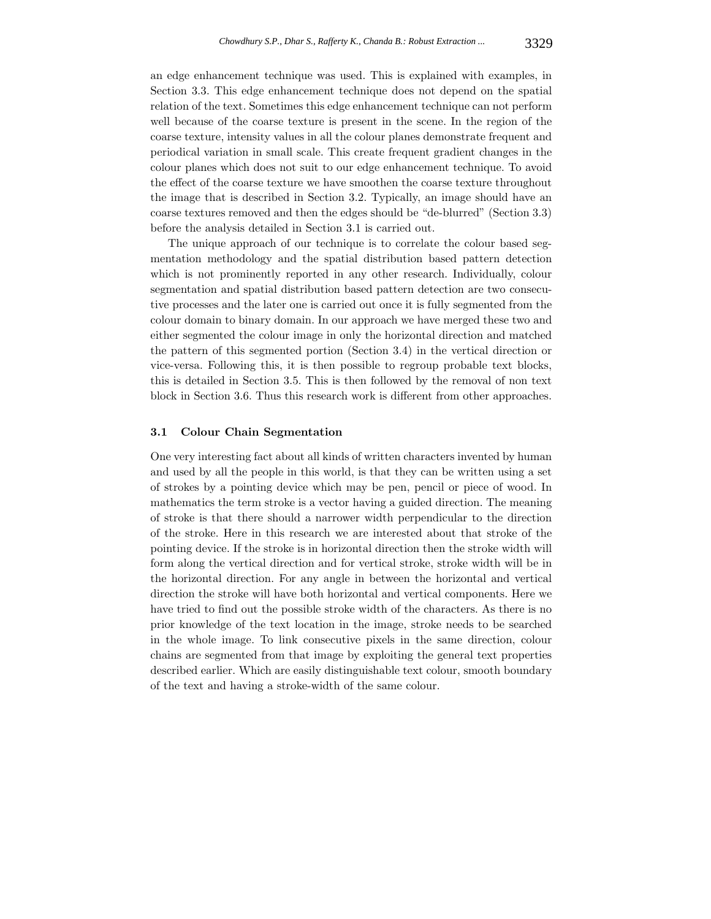an edge enhancement technique was used. This is explained with examples, in Section 3.3. This edge enhancement technique does not depend on the spatial relation of the text. Sometimes this edge enhancement technique can not perform well because of the coarse texture is present in the scene. In the region of the coarse texture, intensity values in all the colour planes demonstrate frequent and periodical variation in small scale. This create frequent gradient changes in the colour planes which does not suit to our edge enhancement technique. To avoid the effect of the coarse texture we have smoothen the coarse texture throughout the image that is described in Section 3.2. Typically, an image should have an coarse textures removed and then the edges should be "de-blurred" (Section 3.3) before the analysis detailed in Section 3.1 is carried out.

The unique approach of our technique is to correlate the colour based segmentation methodology and the spatial distribution based pattern detection which is not prominently reported in any other research. Individually, colour segmentation and spatial distribution based pattern detection are two consecutive processes and the later one is carried out once it is fully segmented from the colour domain to binary domain. In our approach we have merged these two and either segmented the colour image in only the horizontal direction and matched the pattern of this segmented portion (Section 3.4) in the vertical direction or vice-versa. Following this, it is then possible to regroup probable text blocks, this is detailed in Section 3.5. This is then followed by the removal of non text block in Section 3.6. Thus this research work is different from other approaches.

# **3.1 Colour Chain Segmentation**

One very interesting fact about all kinds of written characters invented by human and used by all the people in this world, is that they can be written using a set of strokes by a pointing device which may be pen, pencil or piece of wood. In mathematics the term stroke is a vector having a guided direction. The meaning of stroke is that there should a narrower width perpendicular to the direction of the stroke. Here in this research we are interested about that stroke of the pointing device. If the stroke is in horizontal direction then the stroke width will form along the vertical direction and for vertical stroke, stroke width will be in the horizontal direction. For any angle in between the horizontal and vertical direction the stroke will have both horizontal and vertical components. Here we have tried to find out the possible stroke width of the characters. As there is no prior knowledge of the text location in the image, stroke needs to be searched in the whole image. To link consecutive pixels in the same direction, colour chains are segmented from that image by exploiting the general text properties described earlier. Which are easily distinguishable text colour, smooth boundary of the text and having a stroke-width of the same colour.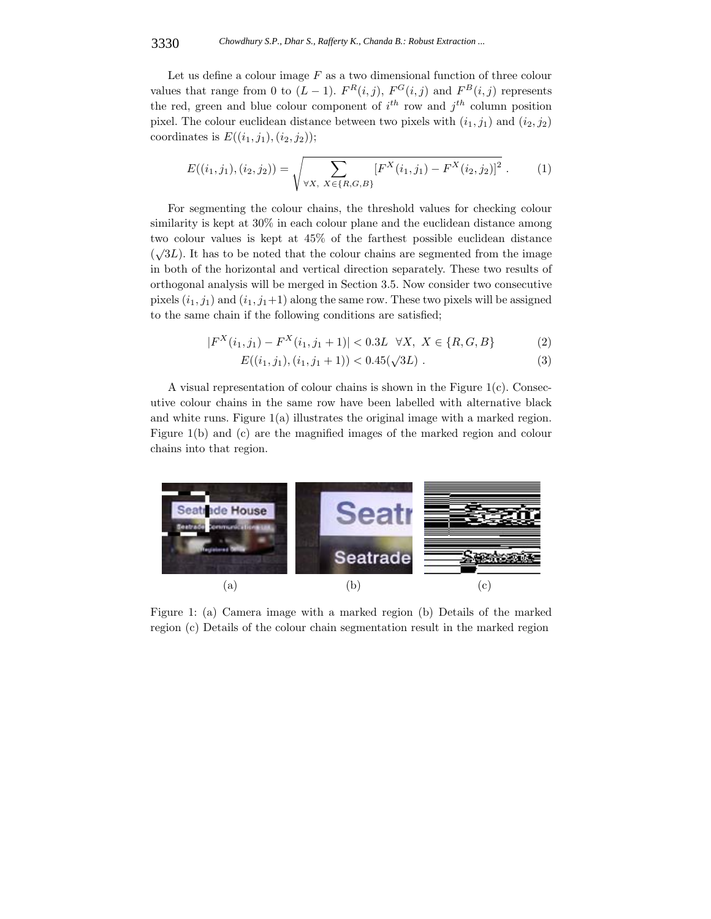Let us define a colour image *F* as a two dimensional function of three colour values that range from 0 to  $(L-1)$ .  $F^R(i,j)$ ,  $F^G(i,j)$  and  $F^B(i,j)$  represents the red, green and blue colour component of  $i^{th}$  row and  $j^{th}$  column position pixel. The colour euclidean distance between two pixels with  $(i_1, j_1)$  and  $(i_2, j_2)$ coordinates is  $E((i_1, j_1), (i_2, j_2))$ ;

$$
E((i_1,j_1),(i_2,j_2)) = \sqrt{\sum_{\forall X, X \in \{R,G,B\}} [F^X(i_1,j_1) - F^X(i_2,j_2)]^2}.
$$
 (1)

For segmenting the colour chains, the threshold values for checking colour similarity is kept at 30% in each colour plane and the euclidean distance among two colour values is kept at 45% of the farthest possible euclidean distance  $(\sqrt{3}L)$ . It has to be noted that the colour chains are segmented from the image in both of the horizontal and vertical direction separately. These two results of orthogonal analysis will be merged in Section 3.5. Now consider two consecutive pixels  $(i_1, j_1)$  and  $(i_1, j_1+1)$  along the same row. These two pixels will be assigned to the same chain if the following conditions are satisfied;

$$
|F^X(i_1,j_1) - F^X(i_1,j_1+1)| < 0.3L \quad \forall X, \ X \in \{R, G, B\} \tag{2}
$$

$$
E((i_1, j_1), (i_1, j_1 + 1)) < 0.45(\sqrt{3L}).
$$
\n(3)

A visual representation of colour chains is shown in the Figure 1(c). Consecutive colour chains in the same row have been labelled with alternative black and white runs. Figure 1(a) illustrates the original image with a marked region. Figure 1(b) and (c) are the magnified images of the marked region and colour chains into that region.



Figure 1: (a) Camera image with a marked region (b) Details of the marked region (c) Details of the colour chain segmentation result in the marked region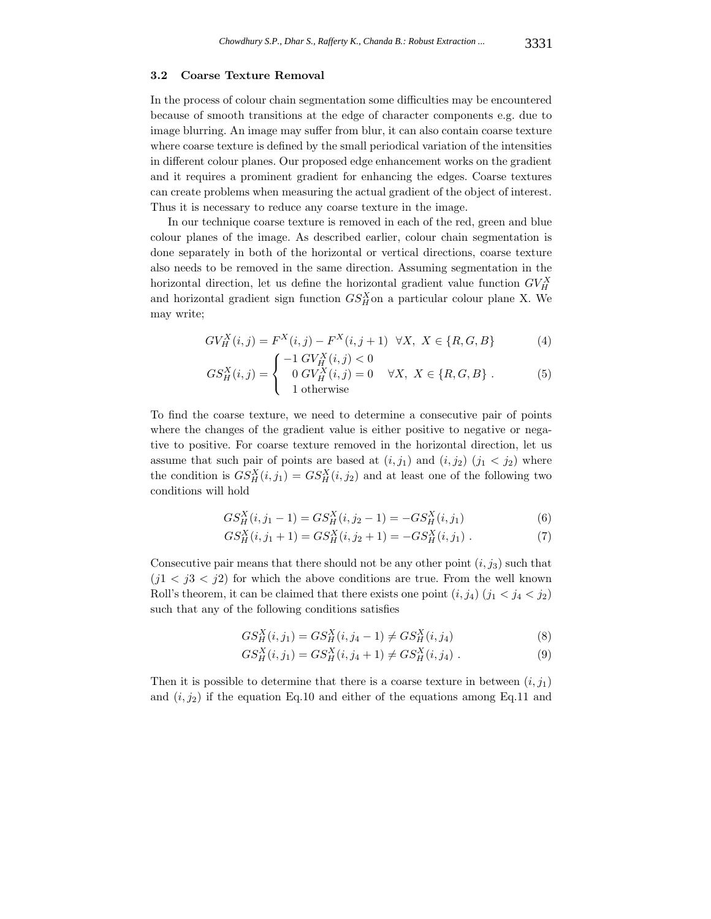#### **3.2 Coarse Texture Removal**

In the process of colour chain segmentation some difficulties may be encountered because of smooth transitions at the edge of character components e.g. due to image blurring. An image may suffer from blur, it can also contain coarse texture where coarse texture is defined by the small periodical variation of the intensities in different colour planes. Our proposed edge enhancement works on the gradient and it requires a prominent gradient for enhancing the edges. Coarse textures can create problems when measuring the actual gradient of the object of interest. Thus it is necessary to reduce any coarse texture in the image.

In our technique coarse texture is removed in each of the red, green and blue colour planes of the image. As described earlier, colour chain segmentation is done separately in both of the horizontal or vertical directions, coarse texture also needs to be removed in the same direction. Assuming segmentation in the horizontal direction, let us define the horizontal gradient value function  $GV_H^X$ and horizontal gradient sign function  $GS_H^X$  on a particular colour plane X. We may write;

$$
GV_H^X(i,j) = F^X(i,j) - F^X(i,j+1) \quad \forall X, \ X \in \{R, G, B\} \tag{4}
$$

$$
GS_H^X(i,j) = \begin{cases} -1 \, G V_H^X(i,j) < 0\\ 0 \, G V_H^X(i,j) = 0 & \forall X, \ X \in \{R, G, B\} \ .\\ 1 \text{ otherwise} \end{cases} \tag{5}
$$

To find the coarse texture, we need to determine a consecutive pair of points where the changes of the gradient value is either positive to negative or negative to positive. For coarse texture removed in the horizontal direction, let us assume that such pair of points are based at  $(i, j_1)$  and  $(i, j_2)$   $(j_1 < j_2)$  where the condition is  $GS_H^X(i, j_1) = GS_H^X(i, j_2)$  and at least one of the following two conditions will hold

$$
GS_H^X(i, j_1 - 1) = GS_H^X(i, j_2 - 1) = -GS_H^X(i, j_1)
$$
\n(6)

$$
GS_H^X(i, j_1 + 1) = GS_H^X(i, j_2 + 1) = -GS_H^X(i, j_1).
$$
\n(7)

Consecutive pair means that there should not be any other point  $(i, j_3)$  such that  $(j1 < j3 < j2)$  for which the above conditions are true. From the well known Roll's theorem, it can be claimed that there exists one point  $(i, j_4)$   $(j_1 < j_4 < j_2)$ such that any of the following conditions satisfies

$$
GS_H^X(i, j_1) = GS_H^X(i, j_4 - 1) \neq GS_H^X(i, j_4)
$$
\n(8)

$$
GS_H^X(i, j_1) = GS_H^X(i, j_4 + 1) \neq GS_H^X(i, j_4) .
$$
 (9)

Then it is possible to determine that there is a coarse texture in between  $(i, j_1)$ and  $(i, j_2)$  if the equation Eq.10 and either of the equations among Eq.11 and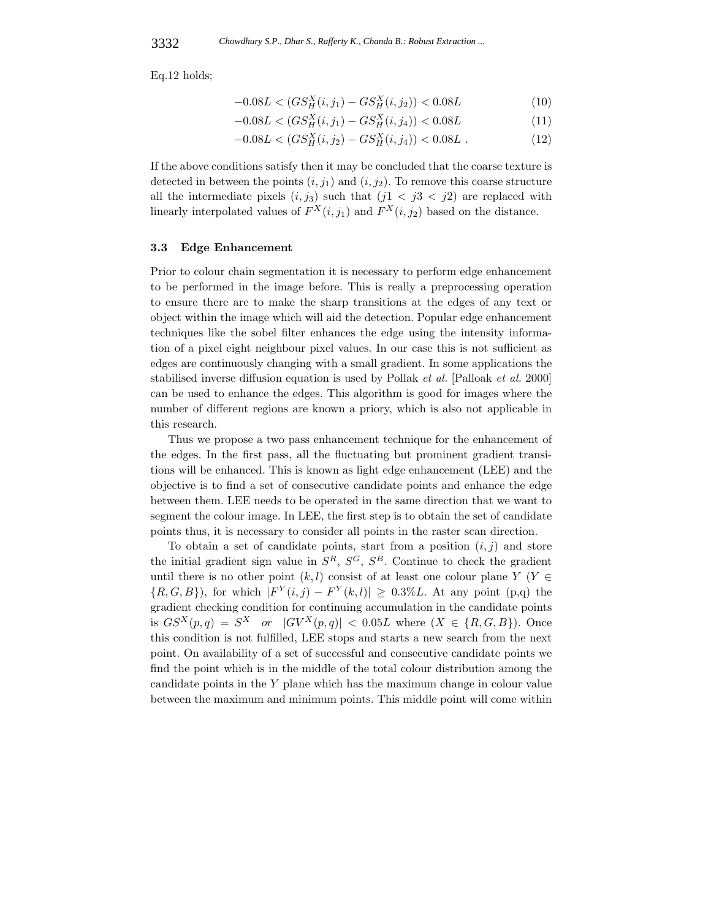Eq.12 holds;

$$
-0.08L < (GS_H^X(i, j_1) - GS_H^X(i, j_2)) < 0.08L
$$
\n<sup>(10)</sup>

$$
-0.08L < (GS_H^X(i, j_1) - GS_H^X(i, j_4)) < 0.08L \tag{11}
$$

$$
-0.08L < (GS_H^X(i, j_2) - GS_H^X(i, j_4)) < 0.08L .
$$
\n(12)

If the above conditions satisfy then it may be concluded that the coarse texture is detected in between the points  $(i, j_1)$  and  $(i, j_2)$ . To remove this coarse structure all the intermediate pixels  $(i, j_3)$  such that  $(j1 < j3 < j2)$  are replaced with linearly interpolated values of  $F^X(i, j_1)$  and  $F^X(i, j_2)$  based on the distance.

### **3.3 Edge Enhancement**

Prior to colour chain segmentation it is necessary to perform edge enhancement to be performed in the image before. This is really a preprocessing operation to ensure there are to make the sharp transitions at the edges of any text or object within the image which will aid the detection. Popular edge enhancement techniques like the sobel filter enhances the edge using the intensity information of a pixel eight neighbour pixel values. In our case this is not sufficient as edges are continuously changing with a small gradient. In some applications the stabilised inverse diffusion equation is used by Pollak *et al.* [Palloak *et al.* 2000] can be used to enhance the edges. This algorithm is good for images where the number of different regions are known a priory, which is also not applicable in this research.

Thus we propose a two pass enhancement technique for the enhancement of the edges. In the first pass, all the fluctuating but prominent gradient transitions will be enhanced. This is known as light edge enhancement (LEE) and the objective is to find a set of consecutive candidate points and enhance the edge between them. LEE needs to be operated in the same direction that we want to segment the colour image. In LEE, the first step is to obtain the set of candidate points thus, it is necessary to consider all points in the raster scan direction.

To obtain a set of candidate points, start from a position  $(i, j)$  and store the initial gradient sign value in  $S^R$ ,  $S^G$ ,  $S^B$ . Continue to check the gradient until there is no other point  $(k, l)$  consist of at least one colour plane *Y* (*Y* ∈  ${R, G, B}$ , for which  $|F^{Y}(i, j) - F^{Y}(k, l)| \geq 0.3\%L$ . At any point (p,q) the gradient checking condition for continuing accumulation in the candidate points is  $GS^{X}(p,q) = S^{X}$  *or*  $|GV^{X}(p,q)| < 0.05L$  where  $(X \in \{R, G, B\})$ . Once this condition is not fulfilled, LEE stops and starts a new search from the next point. On availability of a set of successful and consecutive candidate points we find the point which is in the middle of the total colour distribution among the candidate points in the *Y* plane which has the maximum change in colour value between the maximum and minimum points. This middle point will come within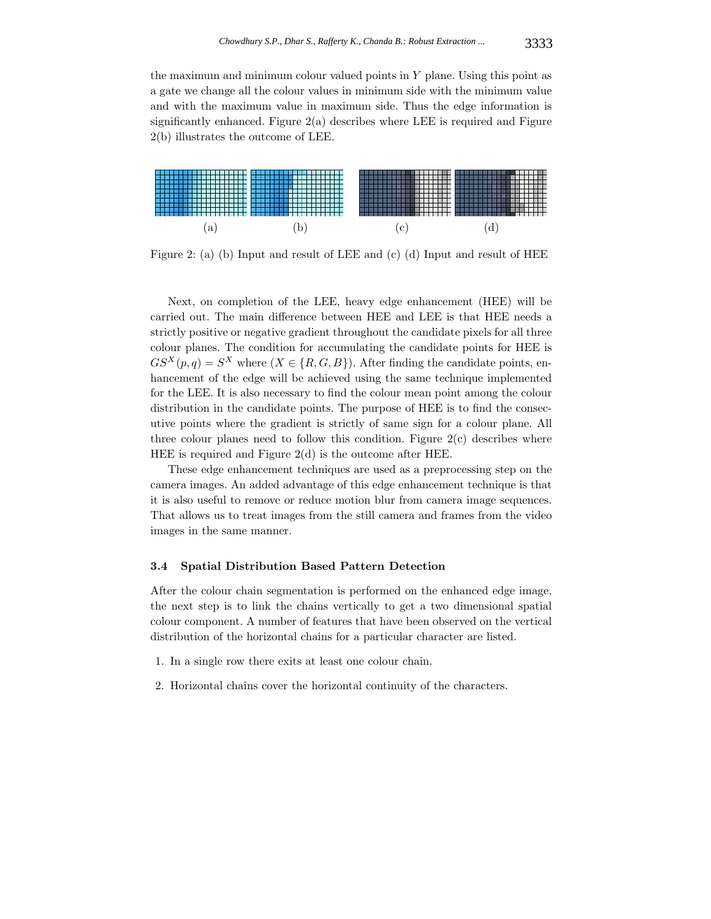the maximum and minimum colour valued points in *Y* plane. Using this point as a gate we change all the colour values in minimum side with the minimum value and with the maximum value in maximum side. Thus the edge information is significantly enhanced. Figure  $2(a)$  describes where LEE is required and Figure 2(b) illustrates the outcome of LEE.



Figure 2: (a) (b) Input and result of LEE and (c) (d) Input and result of HEE

Next, on completion of the LEE, heavy edge enhancement (HEE) will be carried out. The main difference between HEE and LEE is that HEE needs a strictly positive or negative gradient throughout the candidate pixels for all three colour planes. The condition for accumulating the candidate points for HEE is  $GS^{X}(p,q) = S^{X}$  where  $(X \in \{R, G, B\})$ . After finding the candidate points, enhancement of the edge will be achieved using the same technique implemented for the LEE. It is also necessary to find the colour mean point among the colour distribution in the candidate points. The purpose of HEE is to find the consecutive points where the gradient is strictly of same sign for a colour plane. All three colour planes need to follow this condition. Figure  $2(c)$  describes where HEE is required and Figure 2(d) is the outcome after HEE.

These edge enhancement techniques are used as a preprocessing step on the camera images. An added advantage of this edge enhancement technique is that it is also useful to remove or reduce motion blur from camera image sequences. That allows us to treat images from the still camera and frames from the video images in the same manner.

#### **3.4 Spatial Distribution Based Pattern Detection**

After the colour chain segmentation is performed on the enhanced edge image, the next step is to link the chains vertically to get a two dimensional spatial colour component. A number of features that have been observed on the vertical distribution of the horizontal chains for a particular character are listed.

- 1. In a single row there exits at least one colour chain.
- 2. Horizontal chains cover the horizontal continuity of the characters.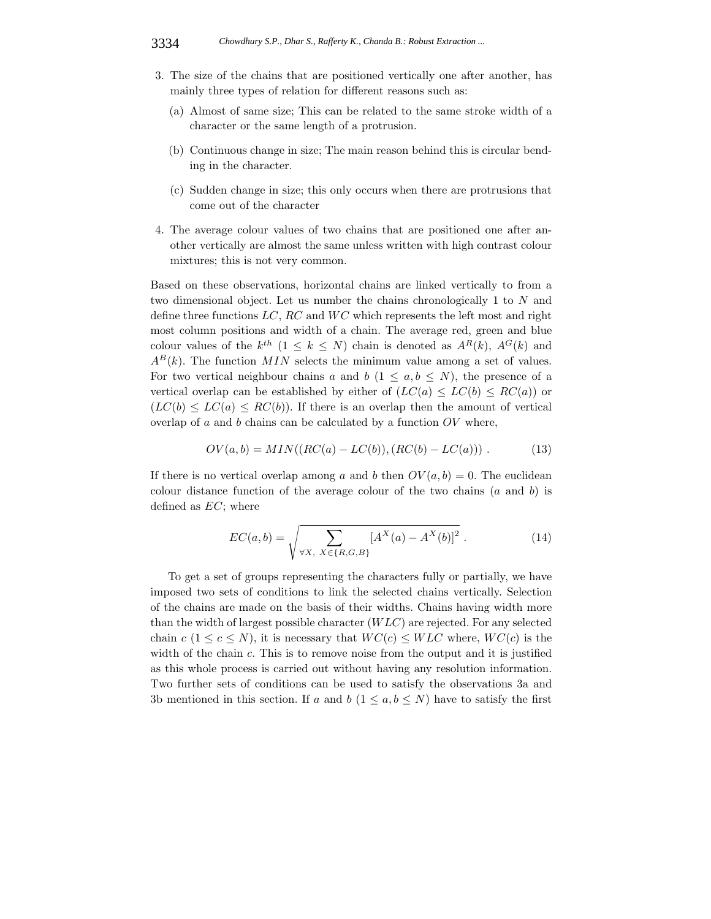- 3. The size of the chains that are positioned vertically one after another, has mainly three types of relation for different reasons such as:
	- (a) Almost of same size; This can be related to the same stroke width of a character or the same length of a protrusion.
	- (b) Continuous change in size; The main reason behind this is circular bending in the character.
	- (c) Sudden change in size; this only occurs when there are protrusions that come out of the character
- 4. The average colour values of two chains that are positioned one after another vertically are almost the same unless written with high contrast colour mixtures; this is not very common.

Based on these observations, horizontal chains are linked vertically to from a two dimensional object. Let us number the chains chronologically 1 to *N* and define three functions LC, RC and WC which represents the left most and right most column positions and width of a chain. The average red, green and blue colour values of the  $k^{th}$   $(1 \leq k \leq N)$  chain is denoted as  $A^{R}(k)$ ,  $A^{G}(k)$  and  $A^{B}(k)$ . The function *MIN* selects the minimum value among a set of values. For two vertical neighbour chains *a* and *b*  $(1 \le a, b \le N)$ , the presence of a vertical overlap can be established by either of  $(LC(a) \leq LC(b) \leq RC(a))$  or  $(LC(b) \leq LC(a) \leq RC(b))$ . If there is an overlap then the amount of vertical overlap of *a* and *b* chains can be calculated by a function *OV* where,

$$
OV(a, b) = MIN((RC(a) - LC(b)), (RC(b) - LC(a)))
$$
 (13)

If there is no vertical overlap among *a* and *b* then  $OV(a, b) = 0$ . The euclidean colour distance function of the average colour of the two chains (*a* and *b*) is defined as *EC*; where

$$
EC(a,b) = \sqrt{\sum_{\forall X, \ X \in \{R,G,B\}} [A^X(a) - A^X(b)]^2} . \tag{14}
$$

To get a set of groups representing the characters fully or partially, we have imposed two sets of conditions to link the selected chains vertically. Selection of the chains are made on the basis of their widths. Chains having width more than the width of largest possible character (*W LC*) are rejected. For any selected chain  $c$  ( $1 \leq c \leq N$ ), it is necessary that  $WC(c) \leq W LC$  where,  $WC(c)$  is the width of the chain *c*. This is to remove noise from the output and it is justified as this whole process is carried out without having any resolution information. Two further sets of conditions can be used to satisfy the observations 3a and 3b mentioned in this section. If *a* and *b*  $(1 \le a, b \le N)$  have to satisfy the first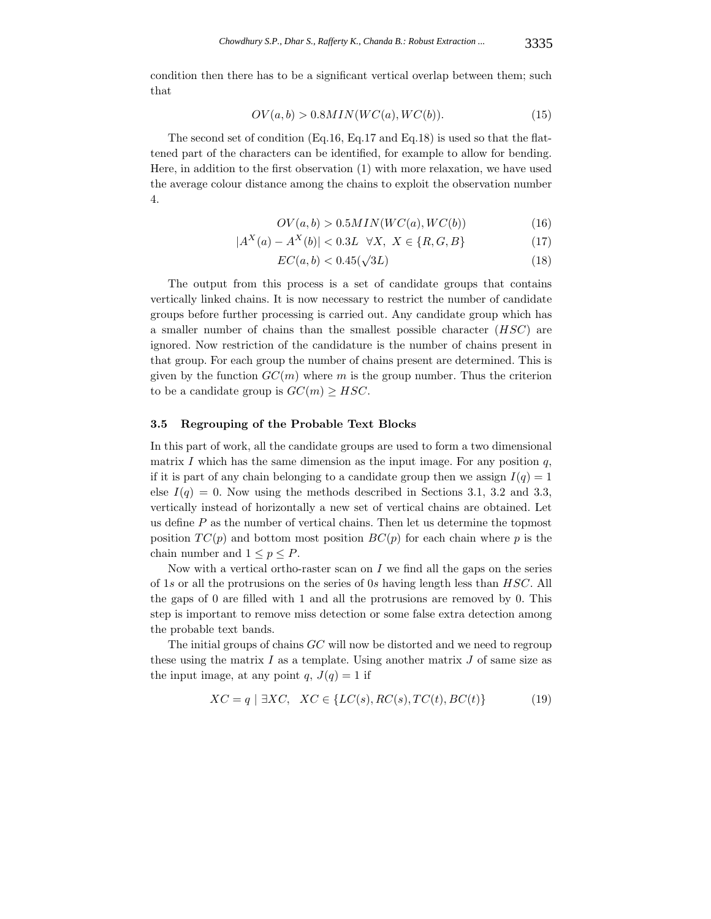condition then there has to be a significant vertical overlap between them; such that

$$
OV(a, b) > 0.8MIN(WC(a), WC(b)).
$$
\n
$$
(15)
$$

The second set of condition (Eq.16, Eq.17 and Eq.18) is used so that the flattened part of the characters can be identified, for example to allow for bending. Here, in addition to the first observation (1) with more relaxation, we have used the average colour distance among the chains to exploit the observation number 4.

$$
OV(a, b) > 0.5MIN(WC(a), WC(b))
$$
\n<sup>(16)</sup>

$$
|A^X(a) - A^X(b)| < 0.3L \quad \forall X, \ X \in \{R, G, B\} \tag{17}
$$

$$
EC(a, b) < 0.45(\sqrt{3L})\tag{18}
$$

The output from this process is a set of candidate groups that contains vertically linked chains. It is now necessary to restrict the number of candidate groups before further processing is carried out. Any candidate group which has a smaller number of chains than the smallest possible character (*HSC*) are ignored. Now restriction of the candidature is the number of chains present in that group. For each group the number of chains present are determined. This is given by the function  $GC(m)$  where *m* is the group number. Thus the criterion to be a candidate group is  $GC(m) \geq HSC$ .

#### **3.5 Regrouping of the Probable Text Blocks**

In this part of work, all the candidate groups are used to form a two dimensional matrix *I* which has the same dimension as the input image. For any position  $q$ , if it is part of any chain belonging to a candidate group then we assign  $I(q)=1$ else  $I(q) = 0$ . Now using the methods described in Sections 3.1, 3.2 and 3.3, vertically instead of horizontally a new set of vertical chains are obtained. Let us define *P* as the number of vertical chains. Then let us determine the topmost position  $TC(p)$  and bottom most position  $BC(p)$  for each chain where p is the chain number and  $1 \leq p \leq P$ .

Now with a vertical ortho-raster scan on *I* we find all the gaps on the series of 1*s* or all the protrusions on the series of 0*s* having length less than *HSC*. All the gaps of 0 are filled with 1 and all the protrusions are removed by 0. This step is important to remove miss detection or some false extra detection among the probable text bands.

The initial groups of chains *GC* will now be distorted and we need to regroup these using the matrix *I* as a template. Using another matrix *J* of same size as the input image, at any point  $q$ ,  $J(q) = 1$  if

$$
XC = q \mid \exists XC, \quad XC \in \{LC(s), RC(s), TC(t), BC(t)\}
$$
\n
$$
(19)
$$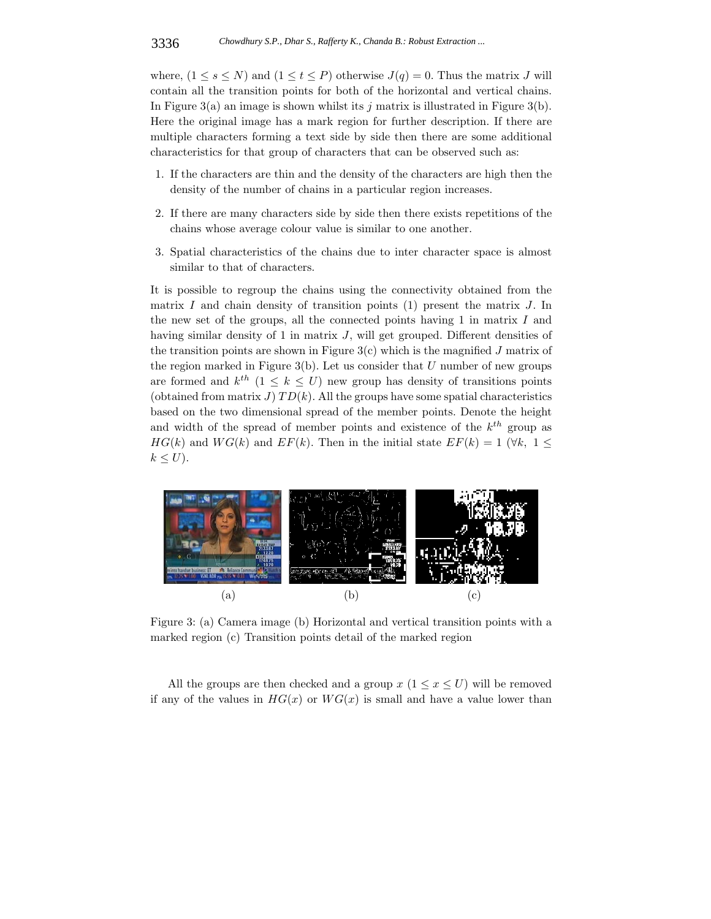where,  $(1 \leq s \leq N)$  and  $(1 \leq t \leq P)$  otherwise  $J(q) = 0$ . Thus the matrix *J* will contain all the transition points for both of the horizontal and vertical chains. In Figure 3(a) an image is shown whilst its *j* matrix is illustrated in Figure 3(b). Here the original image has a mark region for further description. If there are multiple characters forming a text side by side then there are some additional characteristics for that group of characters that can be observed such as:

- 1. If the characters are thin and the density of the characters are high then the density of the number of chains in a particular region increases.
- 2. If there are many characters side by side then there exists repetitions of the chains whose average colour value is similar to one another.
- 3. Spatial characteristics of the chains due to inter character space is almost similar to that of characters.

It is possible to regroup the chains using the connectivity obtained from the matrix *I* and chain density of transition points (1) present the matrix *J*. In the new set of the groups, all the connected points having 1 in matrix *I* and having similar density of 1 in matrix *J*, will get grouped. Different densities of the transition points are shown in Figure  $3(c)$  which is the magnified *J* matrix of the region marked in Figure 3(b). Let us consider that *U* number of new groups are formed and  $k^{th}$  ( $1 \leq k \leq U$ ) new group has density of transitions points (obtained from matrix  $J$ )  $TD(k)$ . All the groups have some spatial characteristics based on the two dimensional spread of the member points. Denote the height and width of the spread of member points and existence of the *kth* group as *HG*(*k*) and *WG*(*k*) and *EF*(*k*). Then in the initial state  $EF(k) = 1$  ( $\forall k, 1 \leq$  $k \leq U$ ).



Figure 3: (a) Camera image (b) Horizontal and vertical transition points with a marked region (c) Transition points detail of the marked region

All the groups are then checked and a group  $x$  ( $1 \le x \le U$ ) will be removed if any of the values in  $HG(x)$  or  $WG(x)$  is small and have a value lower than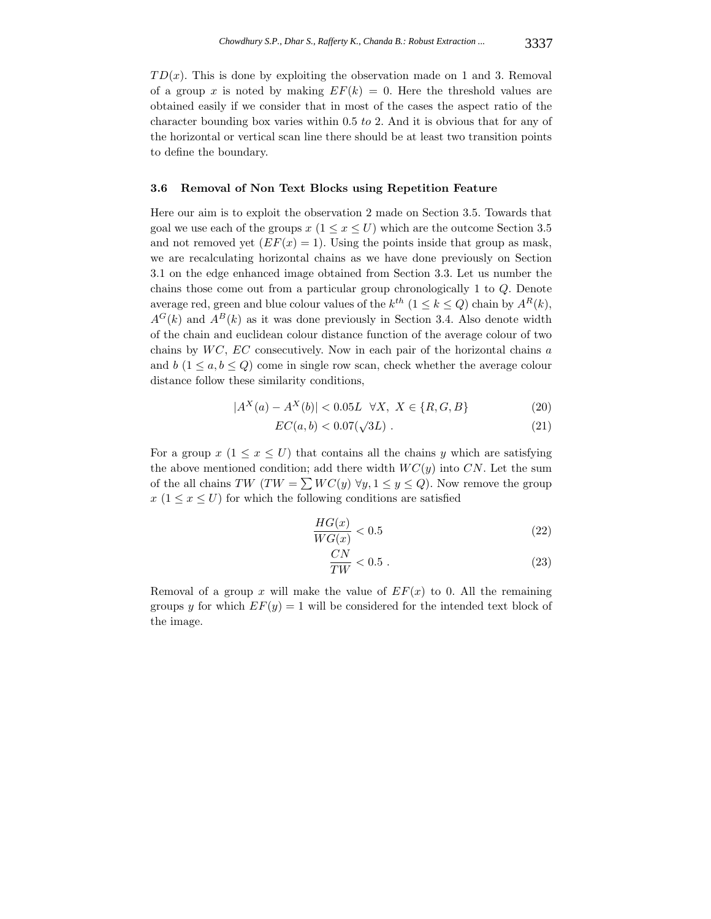$TD(x)$ . This is done by exploiting the observation made on 1 and 3. Removal of a group x is noted by making  $EF(k) = 0$ . Here the threshold values are obtained easily if we consider that in most of the cases the aspect ratio of the character bounding box varies within 0*.*5 *to* 2. And it is obvious that for any of the horizontal or vertical scan line there should be at least two transition points to define the boundary.

### **3.6 Removal of Non Text Blocks using Repetition Feature**

Here our aim is to exploit the observation 2 made on Section 3.5. Towards that goal we use each of the groups  $x (1 \le x \le U)$  which are the outcome Section 3.5 and not removed yet  $(EF(x) = 1)$ . Using the points inside that group as mask, we are recalculating horizontal chains as we have done previously on Section 3.1 on the edge enhanced image obtained from Section 3.3. Let us number the chains those come out from a particular group chronologically 1 to *Q*. Denote average red, green and blue colour values of the  $k^{th}$   $(1 \leq k \leq Q)$  chain by  $A^{R}(k)$ ,  $A^{G}(k)$  and  $A^{B}(k)$  as it was done previously in Section 3.4. Also denote width of the chain and euclidean colour distance function of the average colour of two chains by *W C*, *EC* consecutively. Now in each pair of the horizontal chains *a* and  $b(1 \leq a, b \leq Q)$  come in single row scan, check whether the average colour distance follow these similarity conditions,

$$
|A^X(a) - A^X(b)| < 0.05L \quad \forall X, \ X \in \{R, G, B\} \tag{20}
$$

$$
EC(a,b) < 0.07(\sqrt{3}L) \tag{21}
$$

For a group  $x$  ( $1 \leq x \leq U$ ) that contains all the chains *y* which are satisfying the above mentioned condition; add there width  $WC(y)$  into  $CN$ . Let the sum of the all chains  $TW(TW = \sum WC(y) \,\forall y, 1 \leq y \leq Q)$ . Now remove the group  $x (1 \le x \le U)$  for which the following conditions are satisfied

$$
\frac{HG(x)}{WG(x)} < 0.5\tag{22}
$$

$$
\frac{CN}{TW} < 0.5 \tag{23}
$$

Removal of a group x will make the value of  $EF(x)$  to 0. All the remaining groups *y* for which  $EF(y) = 1$  will be considered for the intended text block of the image.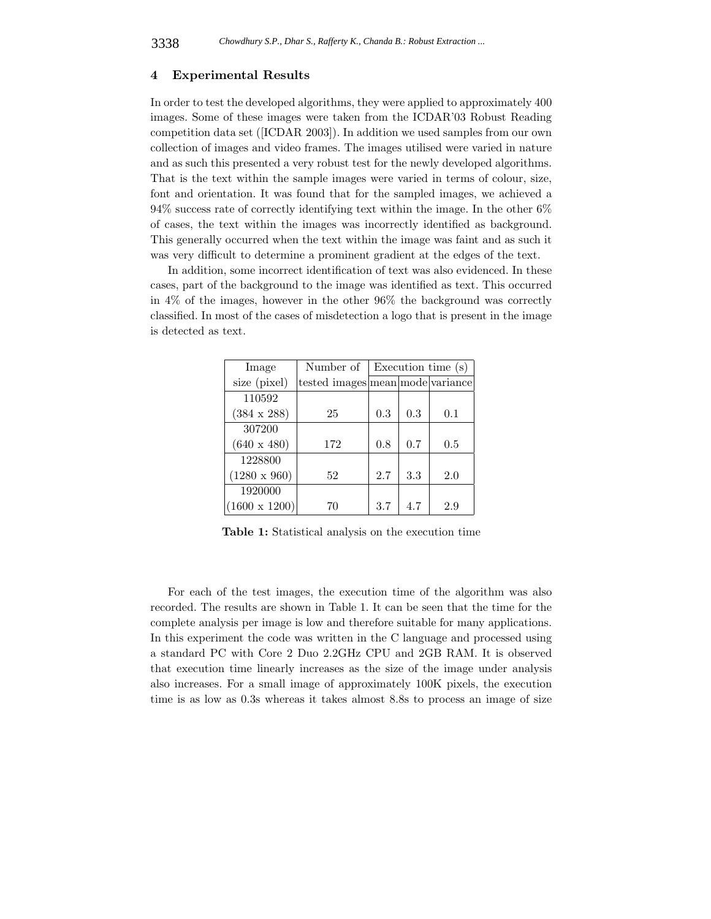#### **4 Experimental Results**

In order to test the developed algorithms, they were applied to approximately 400 images. Some of these images were taken from the ICDAR'03 Robust Reading competition data set ([ICDAR 2003]). In addition we used samples from our own collection of images and video frames. The images utilised were varied in nature and as such this presented a very robust test for the newly developed algorithms. That is the text within the sample images were varied in terms of colour, size, font and orientation. It was found that for the sampled images, we achieved a 94% success rate of correctly identifying text within the image. In the other 6% of cases, the text within the images was incorrectly identified as background. This generally occurred when the text within the image was faint and as such it was very difficult to determine a prominent gradient at the edges of the text.

In addition, some incorrect identification of text was also evidenced. In these cases, part of the background to the image was identified as text. This occurred in 4% of the images, however in the other 96% the background was correctly classified. In most of the cases of misdetection a logo that is present in the image is detected as text.

| Image                | Number of                        | Execution time (s) |     |     |
|----------------------|----------------------------------|--------------------|-----|-----|
| size (pixel)         | tested images mean mode variance |                    |     |     |
| 110592               |                                  |                    |     |     |
| $(384 \times 288)$   | 25                               | 0.3                | 0.3 | 0.1 |
| 307200               |                                  |                    |     |     |
| $(640 \times 480)$   | 172                              | 0.8                | 0.7 | 0.5 |
| 1228800              |                                  |                    |     |     |
| $(1280 \times 960)$  | 52                               | 2.7                | 3.3 | 2.0 |
| 1920000              |                                  |                    |     |     |
| $(1600 \times 1200)$ | 70                               | 3.7                | 4.7 | 2.9 |

**Table 1:** Statistical analysis on the execution time

For each of the test images, the execution time of the algorithm was also recorded. The results are shown in Table 1. It can be seen that the time for the complete analysis per image is low and therefore suitable for many applications. In this experiment the code was written in the C language and processed using a standard PC with Core 2 Duo 2.2GHz CPU and 2GB RAM. It is observed that execution time linearly increases as the size of the image under analysis also increases. For a small image of approximately 100K pixels, the execution time is as low as 0*.*3s whereas it takes almost 8*.*8s to process an image of size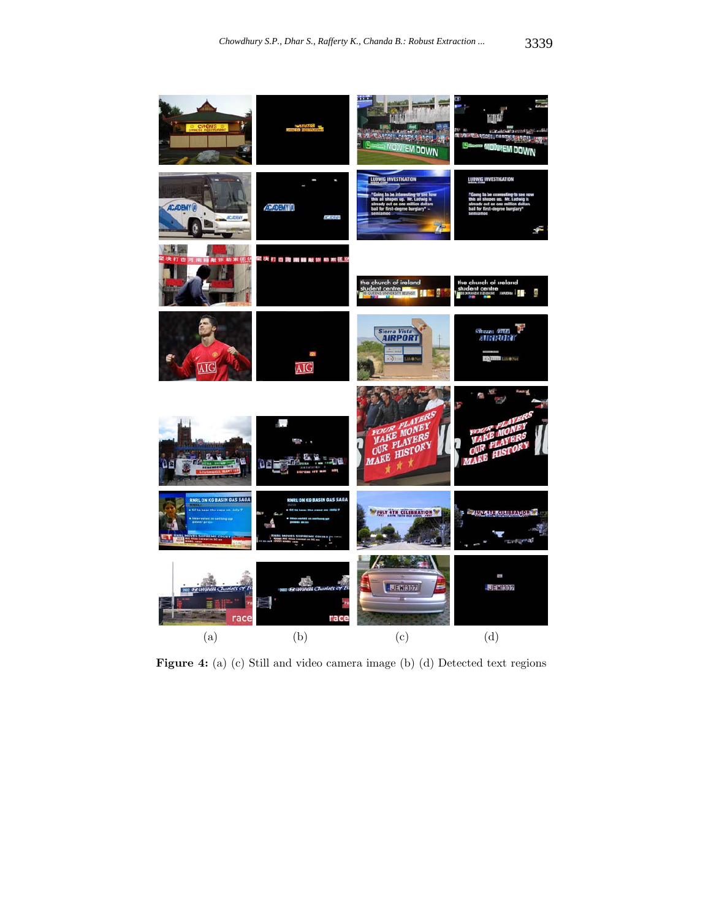

**Figure 4:** (a) (c) Still and video camera image (b) (d) Detected text regions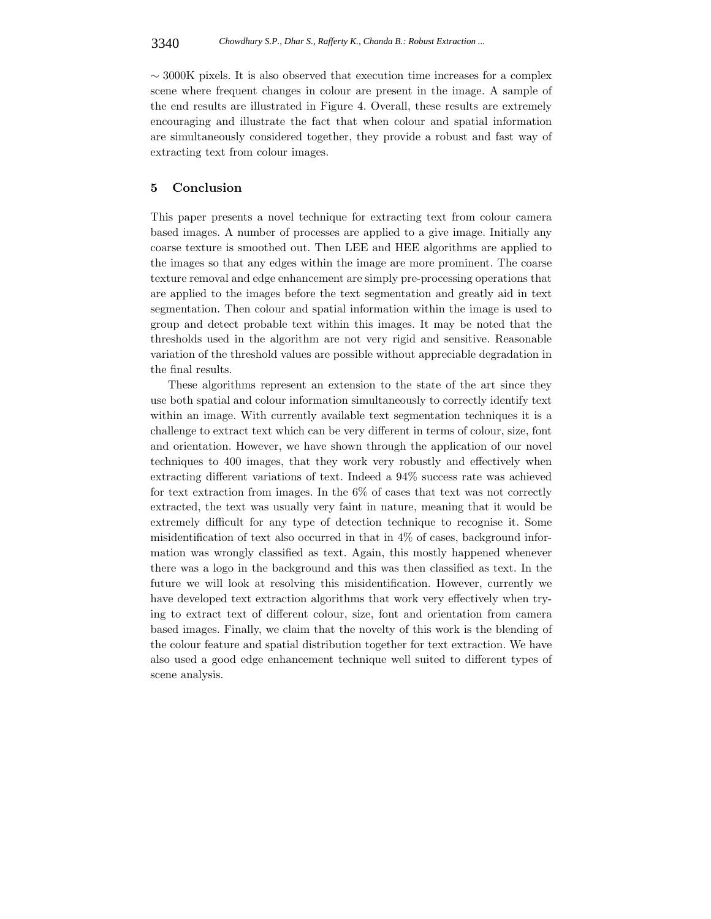$\sim$  3000K pixels. It is also observed that execution time increases for a complex scene where frequent changes in colour are present in the image. A sample of the end results are illustrated in Figure 4. Overall, these results are extremely encouraging and illustrate the fact that when colour and spatial information are simultaneously considered together, they provide a robust and fast way of extracting text from colour images.

# **5 Conclusion**

This paper presents a novel technique for extracting text from colour camera based images. A number of processes are applied to a give image. Initially any coarse texture is smoothed out. Then LEE and HEE algorithms are applied to the images so that any edges within the image are more prominent. The coarse texture removal and edge enhancement are simply pre-processing operations that are applied to the images before the text segmentation and greatly aid in text segmentation. Then colour and spatial information within the image is used to group and detect probable text within this images. It may be noted that the thresholds used in the algorithm are not very rigid and sensitive. Reasonable variation of the threshold values are possible without appreciable degradation in the final results.

These algorithms represent an extension to the state of the art since they use both spatial and colour information simultaneously to correctly identify text within an image. With currently available text segmentation techniques it is a challenge to extract text which can be very different in terms of colour, size, font and orientation. However, we have shown through the application of our novel techniques to 400 images, that they work very robustly and effectively when extracting different variations of text. Indeed a 94% success rate was achieved for text extraction from images. In the 6% of cases that text was not correctly extracted, the text was usually very faint in nature, meaning that it would be extremely difficult for any type of detection technique to recognise it. Some misidentification of text also occurred in that in 4% of cases, background information was wrongly classified as text. Again, this mostly happened whenever there was a logo in the background and this was then classified as text. In the future we will look at resolving this misidentification. However, currently we have developed text extraction algorithms that work very effectively when trying to extract text of different colour, size, font and orientation from camera based images. Finally, we claim that the novelty of this work is the blending of the colour feature and spatial distribution together for text extraction. We have also used a good edge enhancement technique well suited to different types of scene analysis.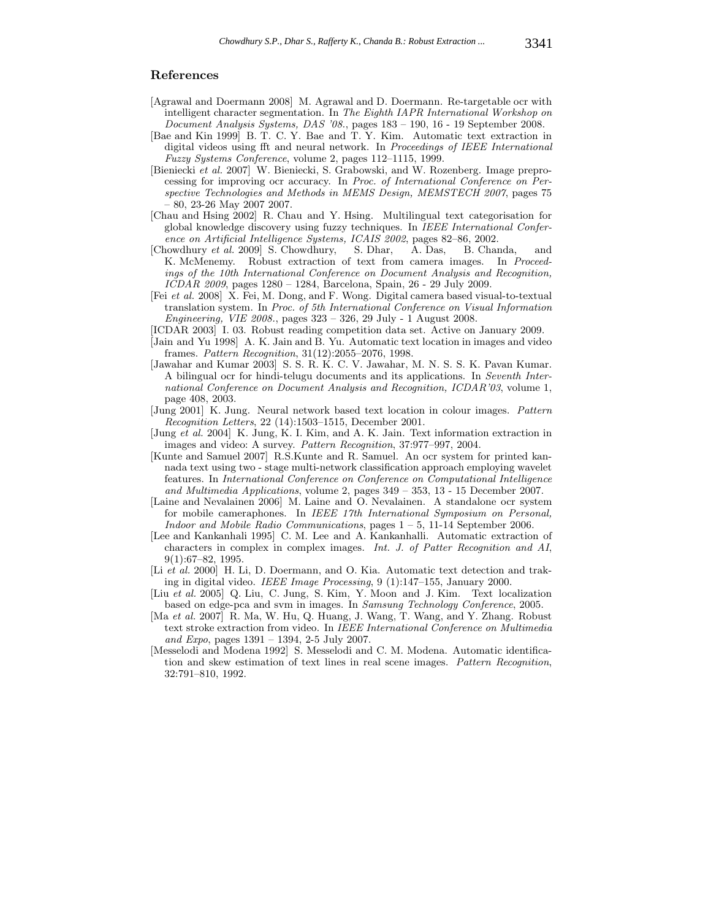# **References**

- [Agrawal and Doermann 2008] M. Agrawal and D. Doermann. Re-targetable ocr with intelligent character segmentation. In *The Eighth IAPR International Workshop on Document Analysis Systems, DAS '08.*, pages 183 – 190, 16 - 19 September 2008.
- [Bae and Kin 1999] B. T. C. Y. Bae and T. Y. Kim. Automatic text extraction in digital videos using fft and neural network. In *Proceedings of IEEE International Fuzzy Systems Conference*, volume 2, pages 112–1115, 1999.
- [Bieniecki *et al.* 2007] W. Bieniecki, S. Grabowski, and W. Rozenberg. Image preprocessing for improving ocr accuracy. In *Proc. of International Conference on Perspective Technologies and Methods in MEMS Design, MEMSTECH 2007*, pages 75 – 80, 23-26 May 2007 2007.
- [Chau and Hsing 2002] R. Chau and Y. Hsing. Multilingual text categorisation for global knowledge discovery using fuzzy techniques. In *IEEE International Conference on Artificial Intelligence Systems, ICAIS 2002*, pages 82–86, 2002.
- [Chowdhury *et al.* 2009] S. Chowdhury, S. Dhar, A. Das, B. Chanda, and K. McMenemy. Robust extraction of text from camera images. In *Proceedings of the 10th International Conference on Document Analysis and Recognition, ICDAR 2009*, pages 1280 – 1284, Barcelona, Spain, 26 - 29 July 2009.
- [Fei *et al.* 2008] X. Fei, M. Dong, and F. Wong. Digital camera based visual-to-textual translation system. In *Proc. of 5th International Conference on Visual Information Engineering, VIE 2008.*, pages 323 – 326, 29 July - 1 August 2008.
- [ICDAR 2003] I. 03. Robust reading competition data set. Active on January 2009.
- [Jain and Yu 1998] A. K. Jain and B. Yu. Automatic text location in images and video frames. *Pattern Recognition*, 31(12):2055–2076, 1998.
- [Jawahar and Kumar 2003] S. S. R. K. C. V. Jawahar, M. N. S. S. K. Pavan Kumar. A bilingual ocr for hindi-telugu documents and its applications. In *Seventh International Conference on Document Analysis and Recognition, ICDAR'03*, volume 1, page 408, 2003.
- [Jung 2001] K. Jung. Neural network based text location in colour images. *Pattern Recognition Letters*, 22 (14):1503–1515, December 2001.
- [Jung *et al.* 2004] K. Jung, K. I. Kim, and A. K. Jain. Text information extraction in images and video: A survey. *Pattern Recognition*, 37:977–997, 2004.
- [Kunte and Samuel 2007] R.S.Kunte and R. Samuel. An ocr system for printed kannada text using two - stage multi-network classification approach employing wavelet features. In *International Conference on Conference on Computational Intelligence and Multimedia Applications*, volume 2, pages 349 – 353, 13 - 15 December 2007.
- [Laine and Nevalainen 2006] M. Laine and O. Nevalainen. A standalone ocr system for mobile cameraphones. In *IEEE 17th International Symposium on Personal, Indoor and Mobile Radio Communications*, pages 1 – 5, 11-14 September 2006.
- [Lee and Kankanhali 1995] C. M. Lee and A. Kankanhalli. Automatic extraction of characters in complex in complex images. *Int. J. of Patter Recognition and AI*, 9(1):67–82, 1995.
- [Li *et al.* 2000] H. Li, D. Doermann, and O. Kia. Automatic text detection and traking in digital video. *IEEE Image Processing*, 9 (1):147–155, January 2000.
- [Liu *et al.* 2005] Q. Liu, C. Jung, S. Kim, Y. Moon and J. Kim. Text localization based on edge-pca and svm in images. In *Samsung Technology Conference*, 2005.
- [Ma *et al.* 2007] R. Ma, W. Hu, Q. Huang, J. Wang, T. Wang, and Y. Zhang. Robust text stroke extraction from video. In *IEEE International Conference on Multimedia and Expo*, pages 1391 – 1394, 2-5 July 2007.
- [Messelodi and Modena 1992] S. Messelodi and C. M. Modena. Automatic identification and skew estimation of text lines in real scene images. *Pattern Recognition*, 32:791–810, 1992.